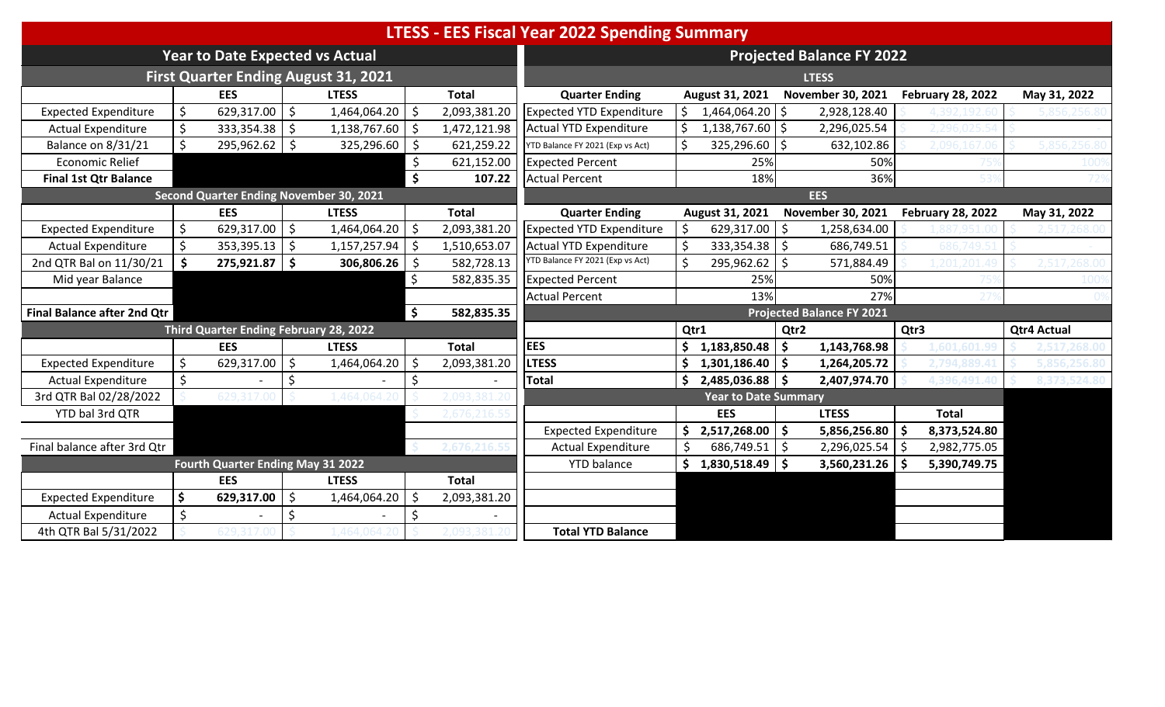|                                    |    |                                        |         |                                         |    |              | <b>LTESS - EES Fiscal Year 2022 Spending Summary</b> |         |                             |                    |                                  |      |                          |                    |  |
|------------------------------------|----|----------------------------------------|---------|-----------------------------------------|----|--------------|------------------------------------------------------|---------|-----------------------------|--------------------|----------------------------------|------|--------------------------|--------------------|--|
|                                    |    | <b>Year to Date Expected vs Actual</b> |         |                                         |    |              |                                                      |         |                             |                    | <b>Projected Balance FY 2022</b> |      |                          |                    |  |
|                                    |    |                                        |         | First Quarter Ending August 31, 2021    |    |              |                                                      |         |                             |                    | <b>LTESS</b>                     |      |                          |                    |  |
|                                    |    | <b>EES</b>                             |         | <b>LTESS</b>                            |    | <b>Total</b> | <b>Quarter Ending</b>                                |         | August 31, 2021             |                    | <b>November 30, 2021</b>         |      | <b>February 28, 2022</b> | May 31, 2022       |  |
| <b>Expected Expenditure</b>        | \$ | $629,317.00$ \$                        |         | 1,464,064.20                            |    | 2,093,381.20 | <b>Expected YTD Expenditure</b>                      | $\zeta$ | 1,464,064.20 \$             |                    | 2,928,128.40                     |      |                          |                    |  |
| <b>Actual Expenditure</b>          |    | 333,354.38                             | Ŝ.      | 1,138,767.60                            |    | 1,472,121.98 | Actual YTD Expenditure                               |         | 1,138,767.60                | l\$                | 2,296,025.54                     |      |                          |                    |  |
| Balance on 8/31/21                 |    | $295,962.62$ \$                        |         | 325,296.60                              |    | 621,259.22   | YTD Balance FY 2021 (Exp vs Act)                     |         | 325,296.60                  | S.                 | 632,102.86                       |      |                          |                    |  |
| <b>Economic Relief</b>             |    |                                        |         |                                         |    | 621,152.00   | <b>Expected Percent</b>                              |         | 25%                         |                    | 50%                              |      |                          |                    |  |
| <b>Final 1st Qtr Balance</b>       |    |                                        |         |                                         |    | 107.22       | <b>Actual Percent</b>                                |         | 18%                         |                    | 36%                              |      |                          |                    |  |
|                                    |    |                                        |         | Second Quarter Ending November 30, 2021 |    |              |                                                      |         |                             |                    | <b>EES</b>                       |      |                          |                    |  |
|                                    |    | <b>EES</b>                             |         | <b>LTESS</b>                            |    | <b>Total</b> | <b>Quarter Ending</b>                                |         | August 31, 2021             |                    | November 30, 2021                |      | <b>February 28, 2022</b> | May 31, 2022       |  |
| <b>Expected Expenditure</b>        | \$ | $629,317.00$ \$                        |         | 1,464,064.20                            | Ŝ. | 2,093,381.20 | <b>Expected YTD Expenditure</b>                      | \$      | $629,317.00$   \$           |                    | 1,258,634.00                     |      |                          |                    |  |
| <b>Actual Expenditure</b>          |    | $353,395.13$ \$                        |         | 1,157,257.94                            |    | 1,510,653.07 | Actual YTD Expenditure                               |         | $333,354.38$ \$             |                    | 686,749.51                       |      |                          |                    |  |
| 2nd QTR Bal on 11/30/21            | \$ | 275,921.87 \$                          |         | 306,806.26                              |    | 582,728.13   | YTD Balance FY 2021 (Exp vs Act)                     |         | 295,962.62                  | . \$               | 571,884.49                       |      |                          |                    |  |
| Mid year Balance                   |    |                                        |         |                                         |    | 582,835.35   | <b>Expected Percent</b>                              |         | 25%                         |                    | 50%                              |      |                          |                    |  |
|                                    |    |                                        |         |                                         |    |              | <b>Actual Percent</b>                                |         | 13%                         |                    | 27%                              |      |                          |                    |  |
| <b>Final Balance after 2nd Qtr</b> |    |                                        |         |                                         | \$ | 582,835.35   |                                                      |         |                             |                    | <b>Projected Balance FY 2021</b> |      |                          |                    |  |
|                                    |    | Third Quarter Ending February 28, 2022 |         |                                         |    |              |                                                      |         | Qtr1                        | Qtr2               |                                  | Qtr3 |                          | <b>Qtr4 Actual</b> |  |
|                                    |    | <b>EES</b>                             |         | <b>LTESS</b>                            |    | <b>Total</b> | <b>EES</b>                                           |         | 1,183,850.48                | -\$                | 1,143,768.98                     |      |                          |                    |  |
| <b>Expected Expenditure</b>        | Ś. | 629,317.00                             | Ŝ.      | 1,464,064.20                            |    | 2,093,381.20 | <b>LTESS</b>                                         | \$      | 1,301,186.40                | $\mathsf{\$}$      | 1,264,205.72                     |      |                          |                    |  |
| <b>Actual Expenditure</b>          | \$ |                                        | \$      |                                         |    |              | <b>Total</b>                                         | \$      | 2,485,036.88                | l \$               | 2,407,974.70                     |      | 1396.491                 |                    |  |
| 3rd QTR Bal 02/28/2022             |    |                                        |         |                                         |    |              |                                                      |         | <b>Year to Date Summary</b> |                    |                                  |      |                          |                    |  |
| YTD bal 3rd QTR                    |    |                                        |         |                                         |    |              |                                                      |         | <b>EES</b>                  |                    | <b>LTESS</b>                     |      | <b>Total</b>             |                    |  |
|                                    |    |                                        |         |                                         |    |              | <b>Expected Expenditure</b>                          | \$      | 2,517,268.00                | $\dot{\mathsf{s}}$ | 5,856,256.80                     | Ŝ.   | 8,373,524.80             |                    |  |
| Final balance after 3rd Qtr        |    |                                        |         |                                         |    |              | <b>Actual Expenditure</b>                            |         | 686,749.51 \$               |                    | 2,296,025.54 \$                  |      | 2,982,775.05             |                    |  |
|                                    |    | Fourth Quarter Ending May 31 2022      |         |                                         |    |              | <b>YTD</b> balance                                   | Ŝ.      | $1,830,518.49$ \$           |                    | 3,560,231.26                     |      | 5,390,749.75             |                    |  |
|                                    |    | <b>EES</b>                             |         | <b>LTESS</b>                            |    | <b>Total</b> |                                                      |         |                             |                    |                                  |      |                          |                    |  |
| <b>Expected Expenditure</b>        | \$ | 629,317.00                             | $\zeta$ | 1,464,064.20                            | Ś  | 2,093,381.20 |                                                      |         |                             |                    |                                  |      |                          |                    |  |
| <b>Actual Expenditure</b>          | \$ |                                        |         |                                         |    |              |                                                      |         |                             |                    |                                  |      |                          |                    |  |
| 4th QTR Bal 5/31/2022              |    |                                        |         |                                         |    |              | <b>Total YTD Balance</b>                             |         |                             |                    |                                  |      |                          |                    |  |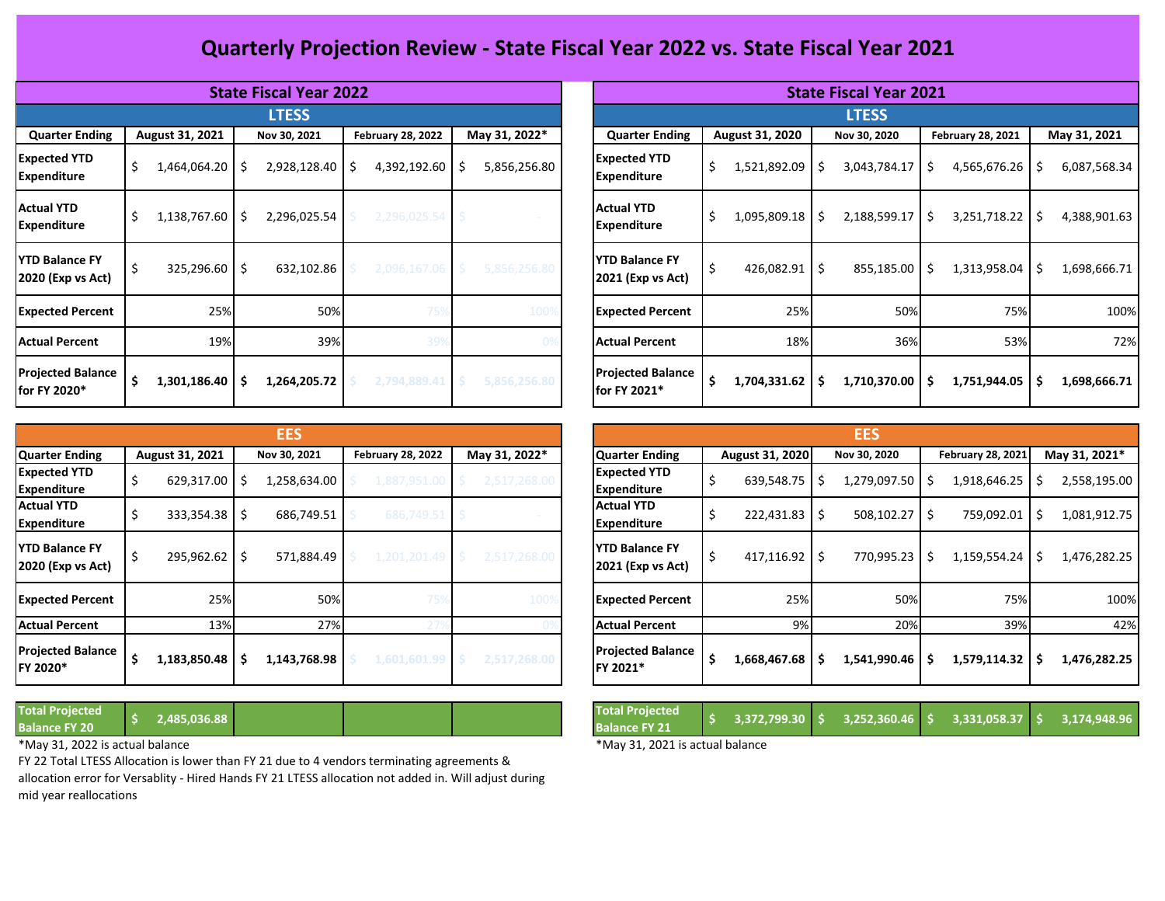## **Quarterly Projection Review - State Fiscal Year 2022 vs. State Fiscal Year 2021**

|                                            |                   | <b>State Fiscal Year 2022</b> |                          |                    | <b>State Fiscal Year 2021</b>               |                          |                     |                          |                      |  |  |
|--------------------------------------------|-------------------|-------------------------------|--------------------------|--------------------|---------------------------------------------|--------------------------|---------------------|--------------------------|----------------------|--|--|
|                                            |                   | <b>LTESS</b>                  |                          |                    |                                             |                          | <b>LTESS</b>        |                          |                      |  |  |
| <b>Quarter Ending</b>                      | August 31, 2021   | Nov 30, 2021                  | <b>February 28, 2022</b> | May 31, 2022*      | <b>Quarter Ending</b>                       | August 31, 2020          | Nov 30, 2020        | <b>February 28, 2021</b> | May 31, 2021         |  |  |
| <b>Expected YTD</b><br><b>Expenditure</b>  | 1,464,064.20<br>Ş | $2,928,128.40$ \$<br>-S       | 4,392,192.60             | 5,856,256.80<br>-S | <b>Expected YTD</b><br><b>Expenditure</b>   | \$<br>1,521,892.09       | 3,043,784.17<br>-S  | 4,565,676.26<br>Ŝ        | 6,087,568.34<br>-\$  |  |  |
| <b>Actual YTD</b><br><b>Expenditure</b>    | 1,138,767.60      | 2,296,025.54<br>-S            | 2,296,025.54             |                    | <b>Actual YTD</b><br><b>Expenditure</b>     | \$<br>1,095,809.18 \$    | 2,188,599.17        | - Ś<br>3,251,718.22      | l \$<br>4,388,901.63 |  |  |
| <b>YTD Balance FY</b><br>2020 (Exp vs Act) | $325,296.60$   \$ | 632,102.86                    | 2,096,167.06             | 5,856,256.80       | <b>IYTD Balance FY</b><br>2021 (Exp vs Act) | $426,082.91$ \$<br>5     | 855,185.00 \$       | $1,313,958.04$ \$        | 1,698,666.71         |  |  |
| <b>Expected Percent</b>                    | 25%               | 50%                           | 75%                      | 1009               | <b>Expected Percent</b>                     | 25%                      | 50%                 | 75%                      | 100%                 |  |  |
| <b>Actual Percent</b>                      | 19%               | 39%                           | 39%                      |                    | <b>Actual Percent</b>                       | 18%                      | 36%                 | 53%                      | 72%                  |  |  |
| <b>Projected Balance</b><br>for FY 2020*   | 1,301,186.40      | 1,264,205.72<br>S             | 2,794,889.41             | 5,856,256.80       | <b>Projected Balance</b><br>for FY 2021*    | $1,704,331.62$   \$<br>S | $1,710,370.00$   \$ | 1,751,944.05             | -Ś<br>1,698,666.71   |  |  |

|                                            |                        |    | <b>EES</b>   |                          |               |                                              |   |                   | <b>EES</b>        |     |                          |    |               |
|--------------------------------------------|------------------------|----|--------------|--------------------------|---------------|----------------------------------------------|---|-------------------|-------------------|-----|--------------------------|----|---------------|
| Quarter Ending                             | August 31, 2021        |    | Nov 30, 2021 | <b>February 28, 2022</b> | May 31, 2022* | <b>Quarter Ending</b>                        |   | August 31, 2020   | Nov 30, 2020      |     | <b>February 28, 2021</b> |    | May 31, 2021* |
| <b>Expected YTD</b><br><b>Expenditure</b>  | 629,317.00             | S  | 1,258,634.00 | 1,887,951.00             | 2,517,268.00  | <b>Expected YTD</b><br>Expenditure           |   | 639,548.75        | $1,279,097.50$ \$ |     | 1,918,646.25             |    | 2,558,195.00  |
| <b>Actual YTD</b><br><b>Expenditure</b>    | $333,354.38$ $\mid$ \$ |    | 686,749.51   | 686,749.51               |               | <b>Actual YTD</b><br><b>Expenditure</b>      |   | $222,431.83$   \$ | 508,102.27        | l S | 759,092.01               |    | 1,081,912.75  |
| <b>YTD Balance FY</b><br>2020 (Exp vs Act) | 295,962.62             | -Ś | 571,884.49   | 1,201,201.49             | 2,517,268.00  | <b>IYTD Balance FY</b><br>2021 (Exp vs Act)  | 5 | $417,116.92$ \$   | 770,995.23        | -S  | 1,159,554.24             | -S | 1,476,282.25  |
| <b>Expected Percent</b>                    | 25%                    |    | 50%          | 75%                      | 100           | <b>Expected Percent</b>                      |   | 25%               | 50%               |     | 75%                      |    | 100%          |
| <b>Actual Percent</b>                      | 13%                    |    | 27%          |                          |               | <b>Actual Percent</b>                        |   | 9%                | 20%               |     | 39%                      |    | 42%           |
| <b>Projected Balance</b><br>FY 2020*       | 1,183,850.48           |    | 1,143,768.98 | 1,601,601.99             | 2,517,268.00  | <b>Projected Balance</b><br><b>IFY 2021*</b> | S | 1,668,467.68      | 1,541,990.46      |     | 1,579,114.32             |    | 1,476,282.25  |

| <b>Total Projected</b> |              |
|------------------------|--------------|
| <b>Balance FY 20</b>   | 2,485,036.88 |

\*May 31, 2022 is actual balance \*May 31, 2021 is actual balance

FY 22 Total LTESS Allocation is lower than FY 21 due to 4 vendors terminating agreements & allocation error for Versablity - Hired Hands FY 21 LTESS allocation not added in. Will adjust during mid year reallocations

|              | <b>State Fiscal Year 2022</b> |     |                          |    |               | <b>State Fiscal Year 2021</b> |                                            |    |                 |    |              |    |                          |    |              |  |  |  |  |
|--------------|-------------------------------|-----|--------------------------|----|---------------|-------------------------------|--------------------------------------------|----|-----------------|----|--------------|----|--------------------------|----|--------------|--|--|--|--|
|              | <b>LTESS</b>                  |     |                          |    |               |                               | <b>LTESS</b>                               |    |                 |    |              |    |                          |    |              |  |  |  |  |
| 21           | Nov 30, 2021                  |     | <b>February 28, 2022</b> |    | May 31, 2022* |                               | <b>Quarter Ending</b>                      |    | August 31, 2020 |    | Nov 30, 2020 |    | <b>February 28, 2021</b> |    | May 31, 2021 |  |  |  |  |
| $.20 \mid 5$ | 2,928,128.40                  | -\$ | 4,392,192.60             | \$ | 5,856,256.80  |                               | <b>Expected YTD</b><br><b>Expenditure</b>  | \$ | 1,521,892.09    | \$ | 3,043,784.17 | Ś. | 4,565,676.26             | Ŝ. | 6,087,568.34 |  |  |  |  |
| $.60$   \$   | 2,296,025.54                  |     | 2,296,025.54             |    |               |                               | <b>Actual YTD</b><br><b>Expenditure</b>    | \$ | 1,095,809.18    | \$ | 2,188,599.17 | \$ | 3,251,718.22             | Ŝ  | 4,388,901.63 |  |  |  |  |
| .60   \$     | 632,102.86                    |     | 2,096,167.06             | Ŝ  | 5,856,256.80  |                               | <b>YTD Balance FY</b><br>2021 (Exp vs Act) | \$ | 426,082.91      | \$ | 855,185.00   | \$ | $1,313,958.04$ \$        |    | 1,698,666.71 |  |  |  |  |
| 25%          | 50%                           |     | 75%                      |    | 100%          |                               | <b>Expected Percent</b>                    |    | 25%             |    | 50%          |    | 75%                      |    | 100%         |  |  |  |  |
| 19%          | 39%                           |     | 399                      |    |               |                               | <b>Actual Percent</b>                      |    | 18%             |    | 36%          |    | 53%                      |    | 72%          |  |  |  |  |
| \$   40.     | 1,264,205.72                  |     | 2,794,889.41             | -Ś | 5,856,256.80  |                               | <b>Projected Balance</b><br>for FY 2021*   | \$ | 1,704,331.62    | \$ | 1,710,370.00 | \$ | 1,751,944.05             | Ŝ. | 1,698,666.71 |  |  |  |  |

| <b>EES</b> |                          |               |                                            |                    |    | <b>EES</b>   |     |                   |                    |
|------------|--------------------------|---------------|--------------------------------------------|--------------------|----|--------------|-----|-------------------|--------------------|
| 30, 2021   | <b>February 28, 2022</b> | May 31, 2022* | <b>Quarter Ending</b>                      | August 31, 2020    |    | Nov 30, 2020 |     | February 28, 2021 | May 31, 2021*      |
| 258,634.00 | 1,887,951.00             | 2,517,268.00  | <b>Expected YTD</b><br><b>Expenditure</b>  | \$<br>639,548.75   | Ś  | 1,279,097.50 | Ŝ   | 1,918,646.25      | \$<br>2,558,195.00 |
| 686,749.51 | 686,749.51               |               | <b>Actual YTD</b><br><b>Expenditure</b>    | \$<br>222,431.83   | Ś  | 508,102.27   | -\$ | 759,092.01        | \$<br>1,081,912.75 |
| 571,884.49 | 1,201,201.49             | 2,517,268.00  | <b>YTD Balance FY</b><br>2021 (Exp vs Act) | \$<br>417,116.92   | Ś  | 770,995.23   | Ŝ.  | 1,159,554.24      | \$<br>1,476,282.25 |
| 50%        | 75%                      | 100%          | <b>Expected Percent</b>                    | 25%                |    | 50%          |     | 75%               | 100%               |
| 27%        |                          |               | <b>Actual Percent</b>                      | 9%                 |    | 20%          |     | 39%               | 42%                |
| 143,768.98 | 1,601,601.99             | 2,517,268.00  | <b>Projected Balance</b><br>FY 2021*       | \$<br>1,668,467.68 | \$ | 1,541,990.46 | \$  | 1,579,114.32      | \$<br>1,476,282.25 |

| <b>Total Projected</b><br><b>Balance FY 21</b> |  |  |  |  |
|------------------------------------------------|--|--|--|--|
| $*$ Mau 24, 2024 is a stual halanas            |  |  |  |  |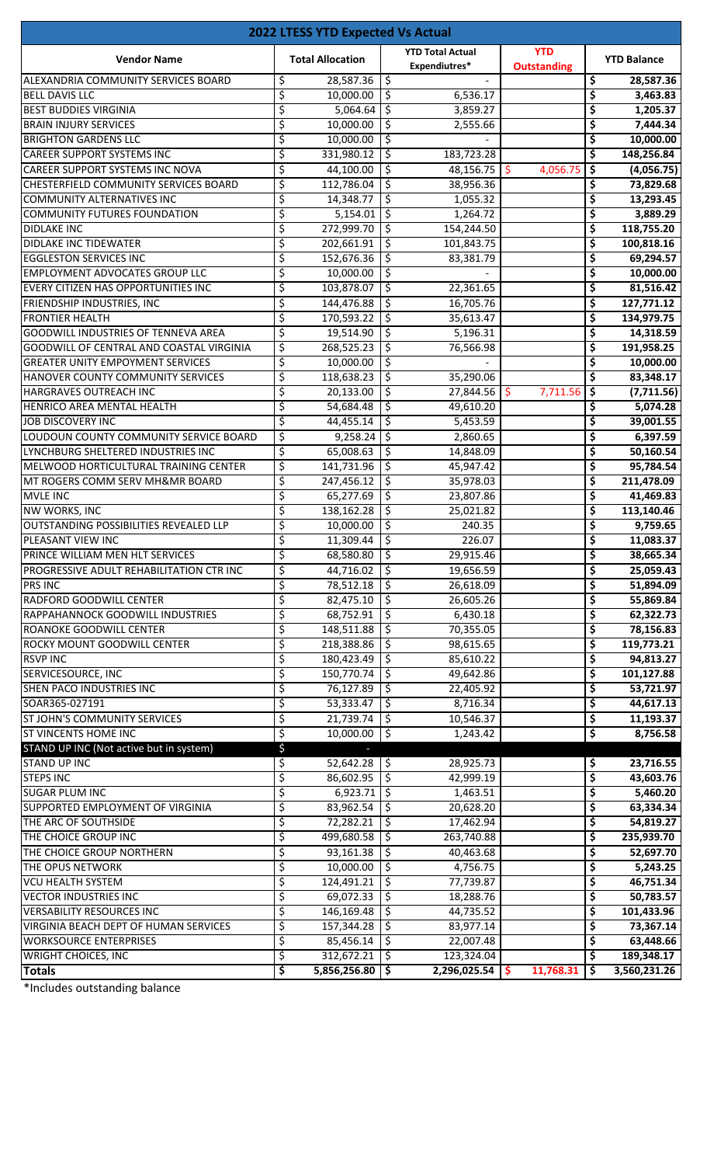|                                               | <b>2022 LTESS YTD Expected Vs Actual</b> |                                          |                                  |                    |
|-----------------------------------------------|------------------------------------------|------------------------------------------|----------------------------------|--------------------|
| <b>Vendor Name</b>                            | <b>Total Allocation</b>                  | <b>YTD Total Actual</b><br>Expendiutres* | <b>YTD</b><br><b>Outstanding</b> | <b>YTD Balance</b> |
| ALEXANDRIA COMMUNITY SERVICES BOARD           | 28,587.36<br>\$                          | \$                                       |                                  | \$<br>28,587.36    |
| <b>BELL DAVIS LLC</b>                         | \$<br>10,000.00                          | \$<br>6,536.17                           |                                  | \$<br>3,463.83     |
| <b>BEST BUDDIES VIRGINIA</b>                  | \$<br>5,064.64                           | \$<br>3,859.27                           |                                  | \$<br>1,205.37     |
| <b>BRAIN INJURY SERVICES</b>                  | \$<br>10,000.00                          | \$<br>2,555.66                           |                                  | \$<br>7,444.34     |
| <b>BRIGHTON GARDENS LLC</b>                   | \$<br>10,000.00                          | \$                                       |                                  | \$<br>10,000.00    |
| <b>CAREER SUPPORT SYSTEMS INC</b>             | \$<br>331,980.12                         | \$<br>183,723.28                         |                                  | \$<br>148,256.84   |
| <b>CAREER SUPPORT SYSTEMS INC NOVA</b>        | \$<br>44,100.00                          | \$<br>48,156.75                          | \$<br>4,056.75                   | \$<br>(4,056.75)   |
| CHESTERFIELD COMMUNITY SERVICES BOARD         | \$<br>112,786.04                         | \$<br>38,956.36                          |                                  | \$<br>73,829.68    |
| <b>COMMUNITY ALTERNATIVES INC</b>             | \$<br>14,348.77                          | \$<br>1,055.32                           |                                  | \$<br>13,293.45    |
| <b>COMMUNITY FUTURES FOUNDATION</b>           | \$<br>5,154.01                           | ς,<br>1,264.72                           |                                  | \$<br>3,889.29     |
| <b>DIDLAKE INC</b>                            | \$<br>272,999.70                         | \$<br>154,244.50                         |                                  | \$<br>118,755.20   |
| <b>DIDLAKE INC TIDEWATER</b>                  | \$<br>202,661.91                         | \$<br>101,843.75                         |                                  | \$<br>100,818.16   |
| <b>EGGLESTON SERVICES INC</b>                 | \$<br>152,676.36                         | \$<br>83,381.79                          |                                  | \$<br>69,294.57    |
| <b>EMPLOYMENT ADVOCATES GROUP LLC</b>         | \$<br>10,000.00                          | \$                                       |                                  | \$<br>10,000.00    |
| EVERY CITIZEN HAS OPPORTUNITIES INC           | \$<br>103,878.07                         | \$<br>22,361.65                          |                                  | \$<br>81,516.42    |
| FRIENDSHIP INDUSTRIES, INC                    | \$<br>144,476.88                         | \$<br>16,705.76                          |                                  | \$<br>127,771.12   |
| <b>FRONTIER HEALTH</b>                        | \$<br>170,593.22                         | \$<br>35,613.47                          |                                  | \$<br>134,979.75   |
| <b>GOODWILL INDUSTRIES OF TENNEVA AREA</b>    | \$<br>19,514.90                          | \$<br>5,196.31                           |                                  | \$<br>14,318.59    |
| GOODWILL OF CENTRAL AND COASTAL VIRGINIA      | \$<br>268,525.23                         | \$<br>76,566.98                          |                                  | \$<br>191,958.25   |
| <b>GREATER UNITY EMPOYMENT SERVICES</b>       | \$<br>10,000.00                          | \$                                       |                                  | \$<br>10,000.00    |
| HANOVER COUNTY COMMUNITY SERVICES             | \$<br>118,638.23                         | \$<br>35,290.06                          |                                  | \$<br>83,348.17    |
| HARGRAVES OUTREACH INC                        | \$<br>20,133.00                          | \$<br>27,844.56                          | 7,711.56<br>Ŝ.                   | \$<br>(7,711.56)   |
| HENRICO AREA MENTAL HEALTH                    | \$<br>54,684.48                          | \$<br>49,610.20                          |                                  | \$<br>5,074.28     |
| <b>JOB DISCOVERY INC</b>                      | \$<br>44,455.14                          | \$<br>5,453.59                           |                                  | \$<br>39,001.55    |
| LOUDOUN COUNTY COMMUNITY SERVICE BOARD        | \$<br>9,258.24                           | \$<br>2,860.65                           |                                  | \$<br>6,397.59     |
| LYNCHBURG SHELTERED INDUSTRIES INC            | \$<br>65,008.63                          | \$<br>14,848.09                          |                                  | \$<br>50,160.54    |
| MELWOOD HORTICULTURAL TRAINING CENTER         | \$<br>141,731.96                         | \$<br>45,947.42                          |                                  | \$<br>95,784.54    |
| MT ROGERS COMM SERV MH&MR BOARD               | \$<br>247,456.12                         | \$<br>35,978.03                          |                                  | \$<br>211,478.09   |
| <b>MVLE INC</b>                               | \$<br>65,277.69                          | \$<br>23,807.86                          |                                  | \$<br>41,469.83    |
| <b>NW WORKS, INC</b>                          | \$<br>138,162.28                         | \$<br>25,021.82                          |                                  | \$<br>113,140.46   |
| <b>OUTSTANDING POSSIBILITIES REVEALED LLP</b> | \$<br>10,000.00                          | \$<br>240.35                             |                                  | \$<br>9,759.65     |
| PLEASANT VIEW INC                             | 11,309.44<br>Ş                           | \$<br>226.07                             |                                  | \$<br>11,083.37    |
| PRINCE WILLIAM MEN HLT SERVICES               | \$<br>68,580.80                          | \$<br>29,915.46                          |                                  | \$<br>38,665.34    |
| PROGRESSIVE ADULT REHABILITATION CTR INC      | \$<br>44,716.02                          | \$<br>19,656.59                          |                                  | \$<br>25,059.43    |
| <b>PRS INC</b>                                | \$<br>78,512.18                          | \$<br>26,618.09                          |                                  | \$<br>51,894.09    |
| RADFORD GOODWILL CENTER                       | \$<br>82,475.10                          | \$<br>26,605.26                          |                                  | \$<br>55,869.84    |
| RAPPAHANNOCK GOODWILL INDUSTRIES              | \$<br>68,752.91                          | \$<br>6,430.18                           |                                  | \$<br>62,322.73    |
| ROANOKE GOODWILL CENTER                       | \$<br>148,511.88                         | \$<br>70,355.05                          |                                  | \$<br>78,156.83    |
| ROCKY MOUNT GOODWILL CENTER                   | \$<br>218,388.86                         | \$<br>98,615.65                          |                                  | \$<br>119,773.21   |
| <b>RSVP INC</b>                               | \$<br>180,423.49                         | \$<br>85,610.22                          |                                  | \$<br>94,813.27    |
| SERVICESOURCE, INC                            | \$<br>150,770.74                         | \$<br>49,642.86                          |                                  | \$<br>101,127.88   |
| <b>SHEN PACO INDUSTRIES INC</b>               | \$<br>76,127.89                          | \$<br>22,405.92                          |                                  | \$<br>53,721.97    |
| SOAR365-027191                                | \$<br>53,333.47                          | \$<br>8,716.34                           |                                  | \$<br>44,617.13    |
| ST JOHN'S COMMUNITY SERVICES                  | \$<br>21,739.74                          | \$<br>10,546.37                          |                                  | \$<br>11,193.37    |
| <b>ST VINCENTS HOME INC</b>                   | \$<br>10,000.00                          | \$<br>1,243.42                           |                                  | \$<br>8,756.58     |
| STAND UP INC (Not active but in system)       | \$                                       |                                          |                                  |                    |
| <b>STAND UP INC</b>                           | \$<br>52,642.28                          | 28,925.73<br>\$,                         |                                  | \$<br>23,716.55    |
| <b>STEPS INC</b>                              | \$<br>86,602.95                          | \$<br>42,999.19                          |                                  | \$<br>43,603.76    |
| <b>SUGAR PLUM INC</b>                         | \$<br>6,923.71                           | 5<br>1,463.51                            |                                  | \$<br>5,460.20     |
| SUPPORTED EMPLOYMENT OF VIRGINIA              | \$<br>83,962.54                          | \$<br>20,628.20                          |                                  | \$<br>63,334.34    |
| THE ARC OF SOUTHSIDE                          | \$<br>72,282.21                          | \$<br>17,462.94                          |                                  | \$<br>54,819.27    |
| THE CHOICE GROUP INC                          | \$<br>499,680.58                         | \$<br>263,740.88                         |                                  | \$<br>235,939.70   |
| THE CHOICE GROUP NORTHERN                     | \$<br>93,161.38                          | \$<br>40,463.68                          |                                  | \$<br>52,697.70    |
| THE OPUS NETWORK                              | \$<br>10,000.00                          | \$<br>4,756.75                           |                                  | \$<br>5,243.25     |
| <b>VCU HEALTH SYSTEM</b>                      | \$<br>124,491.21                         | \$<br>77,739.87                          |                                  | \$<br>46,751.34    |
| <b>VECTOR INDUSTRIES INC</b>                  | \$<br>69,072.33                          | \$<br>18,288.76                          |                                  | \$<br>50,783.57    |
| <b>VERSABILITY RESOURCES INC</b>              | \$<br>146,169.48                         | \$<br>44,735.52                          |                                  | \$<br>101,433.96   |
| VIRGINIA BEACH DEPT OF HUMAN SERVICES         | \$<br>157,344.28                         | \$<br>83,977.14                          |                                  | \$<br>73,367.14    |
| <b>WORKSOURCE ENTERPRISES</b>                 | \$<br>85,456.14                          | \$<br>22,007.48                          |                                  | \$<br>63,448.66    |
| <b>WRIGHT CHOICES, INC</b>                    | \$<br>312,672.21                         | 123,324.04<br>\$                         |                                  | \$<br>189,348.17   |
| <b>Totals</b>                                 | \$<br>5,856,256.80                       | \$<br>2,296,025.54                       | 11,768.31<br>-\$                 | \$<br>3,560,231.26 |

\*Includes outstanding balance